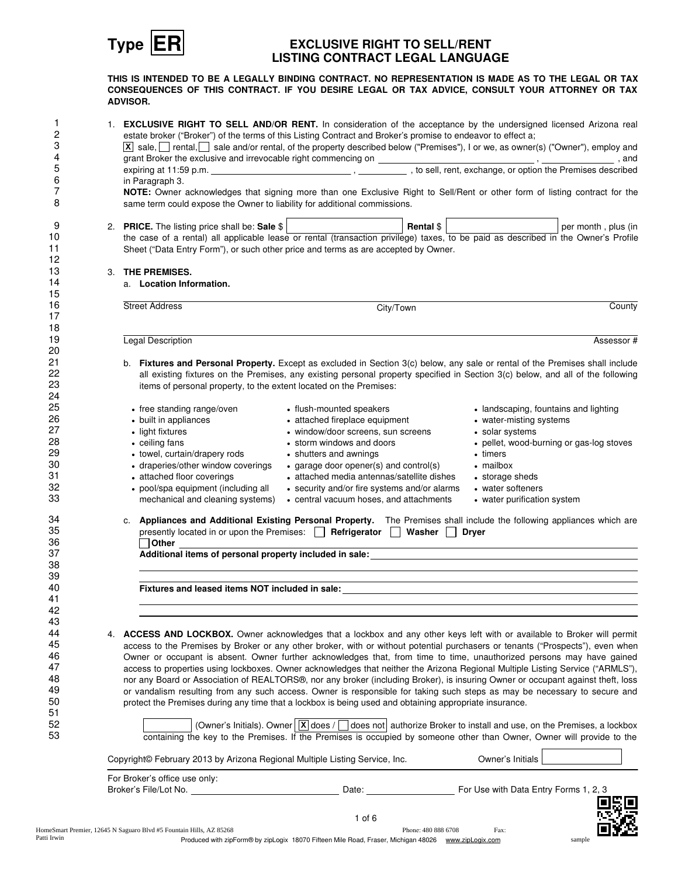

### **Type ER EXCLUSIVE RIGHT TO SELL/RENT LISTING CONTRACT LEGAL LANGUAGE**

**THIS IS INTENDED TO BE A LEGALLY BINDING CONTRACT. NO REPRESENTATION IS MADE AS TO THE LEGAL OR TAX CONSEQUENCES OF THIS CONTRACT. IF YOU DESIRE LEGAL OR TAX ADVICE, CONSULT YOUR ATTORNEY OR TAX ADVISOR.**

|    | 1. EXCLUSIVE RIGHT TO SELL AND/OR RENT. In consideration of the acceptance by the undersigned licensed Arizona real                                                                                                                           |                                                                                                                                                      |                     |                                                  |                                                                                                                                                                                                                               |
|----|-----------------------------------------------------------------------------------------------------------------------------------------------------------------------------------------------------------------------------------------------|------------------------------------------------------------------------------------------------------------------------------------------------------|---------------------|--------------------------------------------------|-------------------------------------------------------------------------------------------------------------------------------------------------------------------------------------------------------------------------------|
|    | estate broker ("Broker") of the terms of this Listing Contract and Broker's promise to endeavor to effect a;                                                                                                                                  |                                                                                                                                                      |                     |                                                  |                                                                                                                                                                                                                               |
|    | $\boxed{\text{x}}$ sale, $\boxed{\phantom{\text{x}}}$ rental, $\boxed{\phantom{\text{x}}}$ sale and/or rental, of the property described below ("Premises"), I or we, as owner(s) ("Owner"), employ and                                       |                                                                                                                                                      |                     |                                                  |                                                                                                                                                                                                                               |
|    | grant Broker the exclusive and irrevocable right commencing on _____________, to sell, rent, exchange, or option the Premises described                                                                                                       |                                                                                                                                                      |                     |                                                  |                                                                                                                                                                                                                               |
|    |                                                                                                                                                                                                                                               |                                                                                                                                                      |                     |                                                  |                                                                                                                                                                                                                               |
|    | in Paragraph 3.                                                                                                                                                                                                                               |                                                                                                                                                      |                     |                                                  |                                                                                                                                                                                                                               |
|    | NOTE: Owner acknowledges that signing more than one Exclusive Right to Sell/Rent or other form of listing contract for the<br>same term could expose the Owner to liability for additional commissions.                                       |                                                                                                                                                      |                     |                                                  |                                                                                                                                                                                                                               |
|    | 2. PRICE. The listing price shall be: Sale \$<br><b>PRICE.</b> The listing price shall be: Sale $\oint$<br>the case of a rental) all applicable lease or rental (transaction privilege) taxes, to be paid as described in the Owner's Profile |                                                                                                                                                      |                     |                                                  |                                                                                                                                                                                                                               |
|    |                                                                                                                                                                                                                                               |                                                                                                                                                      |                     |                                                  |                                                                                                                                                                                                                               |
|    | Sheet ("Data Entry Form"), or such other price and terms as are accepted by Owner.                                                                                                                                                            |                                                                                                                                                      |                     |                                                  |                                                                                                                                                                                                                               |
|    |                                                                                                                                                                                                                                               |                                                                                                                                                      |                     |                                                  |                                                                                                                                                                                                                               |
|    | 3. THE PREMISES.                                                                                                                                                                                                                              |                                                                                                                                                      |                     |                                                  |                                                                                                                                                                                                                               |
|    | a. Location Information.                                                                                                                                                                                                                      |                                                                                                                                                      |                     |                                                  |                                                                                                                                                                                                                               |
|    | <b>Street Address</b>                                                                                                                                                                                                                         | City/Town                                                                                                                                            |                     |                                                  | County                                                                                                                                                                                                                        |
|    |                                                                                                                                                                                                                                               |                                                                                                                                                      |                     |                                                  |                                                                                                                                                                                                                               |
|    | Legal Description                                                                                                                                                                                                                             |                                                                                                                                                      |                     |                                                  | Assessor#                                                                                                                                                                                                                     |
|    |                                                                                                                                                                                                                                               |                                                                                                                                                      |                     |                                                  |                                                                                                                                                                                                                               |
|    | b. Fixtures and Personal Property. Except as excluded in Section 3(c) below, any sale or rental of the Premises shall include                                                                                                                 |                                                                                                                                                      |                     |                                                  |                                                                                                                                                                                                                               |
|    | all existing fixtures on the Premises, any existing personal property specified in Section 3(c) below, and all of the following                                                                                                               |                                                                                                                                                      |                     |                                                  |                                                                                                                                                                                                                               |
|    | items of personal property, to the extent located on the Premises:                                                                                                                                                                            |                                                                                                                                                      |                     |                                                  |                                                                                                                                                                                                                               |
|    |                                                                                                                                                                                                                                               |                                                                                                                                                      |                     |                                                  |                                                                                                                                                                                                                               |
|    | • free standing range/oven                                                                                                                                                                                                                    | • flush-mounted speakers                                                                                                                             |                     | • landscaping, fountains and lighting            |                                                                                                                                                                                                                               |
|    | • built in appliances                                                                                                                                                                                                                         | • attached fireplace equipment                                                                                                                       |                     | • water-misting systems                          |                                                                                                                                                                                                                               |
|    | • light fixtures                                                                                                                                                                                                                              | • window/door screens, sun screens                                                                                                                   |                     | • solar systems                                  |                                                                                                                                                                                                                               |
|    | • ceiling fans                                                                                                                                                                                                                                | • storm windows and doors                                                                                                                            |                     |                                                  | • pellet, wood-burning or gas-log stoves                                                                                                                                                                                      |
|    | - towel, curtain/drapery rods                                                                                                                                                                                                                 | • shutters and awnings                                                                                                                               |                     | • timers                                         |                                                                                                                                                                                                                               |
|    | • draperies/other window coverings                                                                                                                                                                                                            | $\bullet$ garage door opener(s) and control(s)<br>• attached media antennas/satellite dishes                                                         |                     | • mailbox                                        |                                                                                                                                                                                                                               |
|    | • attached floor coverings                                                                                                                                                                                                                    |                                                                                                                                                      |                     | • storage sheds                                  |                                                                                                                                                                                                                               |
|    | • pool/spa equipment (including all<br>mechanical and cleaning systems)                                                                                                                                                                       | • security and/or fire systems and/or alarms<br>• central vacuum hoses, and attachments                                                              |                     | • water softeners<br>• water purification system |                                                                                                                                                                                                                               |
|    |                                                                                                                                                                                                                                               |                                                                                                                                                      |                     |                                                  |                                                                                                                                                                                                                               |
|    | c. Appliances and Additional Existing Personal Property. The Premises shall include the following appliances which are<br>presently located in or upon the Premises: <b>Figure</b> Refrigerator Nasher Dryer                                  |                                                                                                                                                      |                     |                                                  |                                                                                                                                                                                                                               |
|    |                                                                                                                                                                                                                                               |                                                                                                                                                      |                     |                                                  |                                                                                                                                                                                                                               |
|    |                                                                                                                                                                                                                                               |                                                                                                                                                      |                     |                                                  |                                                                                                                                                                                                                               |
|    |                                                                                                                                                                                                                                               |                                                                                                                                                      |                     |                                                  | the control of the control of the control of the control of the control of the control of the control of the control of the control of the control of the control of the control of the control of the control of the control |
|    |                                                                                                                                                                                                                                               |                                                                                                                                                      |                     |                                                  |                                                                                                                                                                                                                               |
|    |                                                                                                                                                                                                                                               |                                                                                                                                                      |                     |                                                  |                                                                                                                                                                                                                               |
| 4. | ACCESS AND LOCKBOX. Owner acknowledges that a lockbox and any other keys left with or available to Broker will permit                                                                                                                         |                                                                                                                                                      |                     |                                                  |                                                                                                                                                                                                                               |
|    | access to the Premises by Broker or any other broker, with or without potential purchasers or tenants ("Prospects"), even when                                                                                                                |                                                                                                                                                      |                     |                                                  |                                                                                                                                                                                                                               |
|    | Owner or occupant is absent. Owner further acknowledges that, from time to time, unauthorized persons may have gained                                                                                                                         |                                                                                                                                                      |                     |                                                  |                                                                                                                                                                                                                               |
|    | access to properties using lockboxes. Owner acknowledges that neither the Arizona Regional Multiple Listing Service ("ARMLS"),                                                                                                                |                                                                                                                                                      |                     |                                                  |                                                                                                                                                                                                                               |
|    | nor any Board or Association of REALTORS®, nor any broker (including Broker), is insuring Owner or occupant against theft, loss                                                                                                               |                                                                                                                                                      |                     |                                                  |                                                                                                                                                                                                                               |
|    | or vandalism resulting from any such access. Owner is responsible for taking such steps as may be necessary to secure and                                                                                                                     |                                                                                                                                                      |                     |                                                  |                                                                                                                                                                                                                               |
|    | protect the Premises during any time that a lockbox is being used and obtaining appropriate insurance.                                                                                                                                        |                                                                                                                                                      |                     |                                                  |                                                                                                                                                                                                                               |
|    |                                                                                                                                                                                                                                               | (Owner's Initials). Owner $\boxed{\mathbf{x}}$ does / $\boxed{\phantom{x}}$ does not authorize Broker to install and use, on the Premises, a lockbox |                     |                                                  |                                                                                                                                                                                                                               |
|    | containing the key to the Premises. If the Premises is occupied by someone other than Owner, Owner will provide to the                                                                                                                        |                                                                                                                                                      |                     |                                                  |                                                                                                                                                                                                                               |
|    | Copyright© February 2013 by Arizona Regional Multiple Listing Service, Inc.                                                                                                                                                                   |                                                                                                                                                      |                     | Owner's Initials                                 |                                                                                                                                                                                                                               |
|    | For Broker's office use only:                                                                                                                                                                                                                 |                                                                                                                                                      |                     |                                                  |                                                                                                                                                                                                                               |
|    | Broker's File/Lot No. 2008 2010 12:00:00 12:00:00 12:00:00 12:00:00 12:00:00 12:00:00 12:00:00 12:00                                                                                                                                          | Date: <u>________________________</u>                                                                                                                |                     | For Use with Data Entry Forms 1, 2, 3            |                                                                                                                                                                                                                               |
|    |                                                                                                                                                                                                                                               |                                                                                                                                                      |                     |                                                  |                                                                                                                                                                                                                               |
|    |                                                                                                                                                                                                                                               | $1$ of 6                                                                                                                                             |                     |                                                  |                                                                                                                                                                                                                               |
|    | eSmart Premier, 12645 N Saguaro Blvd #5 Fountain Hills, AZ 85268                                                                                                                                                                              |                                                                                                                                                      | Phone: 480 888 6708 | Fax:                                             |                                                                                                                                                                                                                               |
|    |                                                                                                                                                                                                                                               | Produced with zipForm® by zipLogix 18070 Fifteen Mile Road, Fraser, Michigan 48026 www.zipLogix.com                                                  |                     |                                                  | sample                                                                                                                                                                                                                        |
|    |                                                                                                                                                                                                                                               |                                                                                                                                                      |                     |                                                  |                                                                                                                                                                                                                               |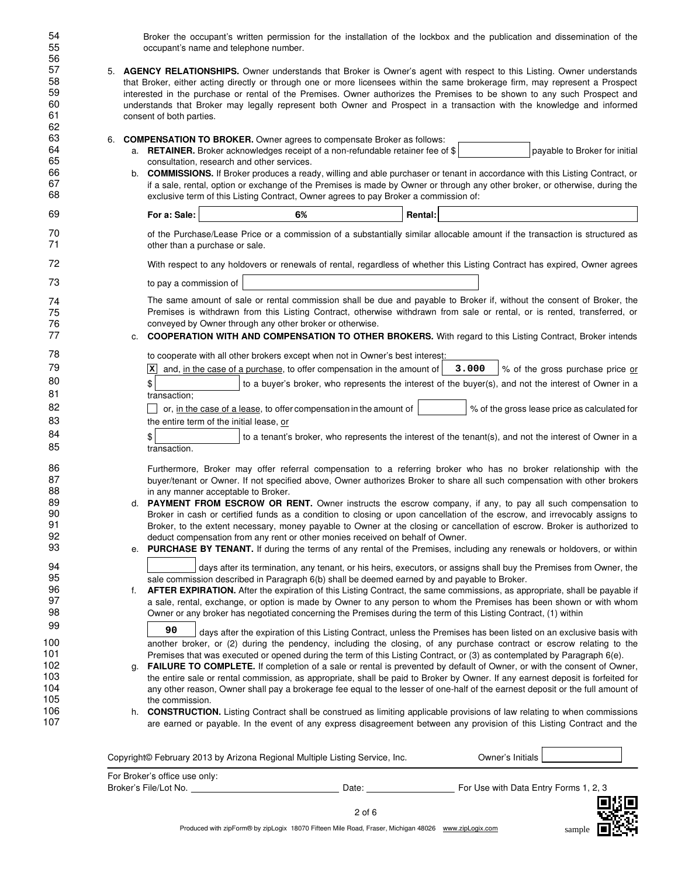Broker the occupant's written permission for the installation of the lockbox and the publication and dissemination of the occupant's name and telephone number.

54

| 55       | occupant's name and telephone number.                                                                                                                                                                                                                     |                                                                                                                 |                |                                                                                                                                                                                                                                                   |  |
|----------|-----------------------------------------------------------------------------------------------------------------------------------------------------------------------------------------------------------------------------------------------------------|-----------------------------------------------------------------------------------------------------------------|----------------|---------------------------------------------------------------------------------------------------------------------------------------------------------------------------------------------------------------------------------------------------|--|
| 56<br>57 |                                                                                                                                                                                                                                                           |                                                                                                                 |                |                                                                                                                                                                                                                                                   |  |
| 58       |                                                                                                                                                                                                                                                           |                                                                                                                 |                | 5. <b>AGENCY RELATIONSHIPS.</b> Owner understands that Broker is Owner's agent with respect to this Listing. Owner understands                                                                                                                    |  |
| 59       | that Broker, either acting directly or through one or more licensees within the same brokerage firm, may represent a Prospect<br>interested in the purchase or rental of the Premises. Owner authorizes the Premises to be shown to any such Prospect and |                                                                                                                 |                |                                                                                                                                                                                                                                                   |  |
| 60       |                                                                                                                                                                                                                                                           |                                                                                                                 |                |                                                                                                                                                                                                                                                   |  |
|          |                                                                                                                                                                                                                                                           |                                                                                                                 |                | understands that Broker may legally represent both Owner and Prospect in a transaction with the knowledge and informed                                                                                                                            |  |
| 61       | consent of both parties.                                                                                                                                                                                                                                  |                                                                                                                 |                |                                                                                                                                                                                                                                                   |  |
| 62<br>63 |                                                                                                                                                                                                                                                           |                                                                                                                 |                |                                                                                                                                                                                                                                                   |  |
| 64       |                                                                                                                                                                                                                                                           | 6. <b>COMPENSATION TO BROKER.</b> Owner agrees to compensate Broker as follows:                                 |                |                                                                                                                                                                                                                                                   |  |
|          |                                                                                                                                                                                                                                                           | a. RETAINER. Broker acknowledges receipt of a non-refundable retainer fee of \$                                 |                | payable to Broker for initial                                                                                                                                                                                                                     |  |
| 65       | consultation, research and other services.                                                                                                                                                                                                                |                                                                                                                 |                |                                                                                                                                                                                                                                                   |  |
| 66       |                                                                                                                                                                                                                                                           |                                                                                                                 |                | b. COMMISSIONS. If Broker produces a ready, willing and able purchaser or tenant in accordance with this Listing Contract, or                                                                                                                     |  |
| 67       |                                                                                                                                                                                                                                                           |                                                                                                                 |                | if a sale, rental, option or exchange of the Premises is made by Owner or through any other broker, or otherwise, during the                                                                                                                      |  |
| 68       |                                                                                                                                                                                                                                                           | exclusive term of this Listing Contract, Owner agrees to pay Broker a commission of:                            |                |                                                                                                                                                                                                                                                   |  |
| 69       | For a: Sale:                                                                                                                                                                                                                                              | 6%                                                                                                              | <b>Rental:</b> |                                                                                                                                                                                                                                                   |  |
| 70<br>71 |                                                                                                                                                                                                                                                           |                                                                                                                 |                | of the Purchase/Lease Price or a commission of a substantially similar allocable amount if the transaction is structured as                                                                                                                       |  |
|          | other than a purchase or sale.                                                                                                                                                                                                                            |                                                                                                                 |                |                                                                                                                                                                                                                                                   |  |
| 72       |                                                                                                                                                                                                                                                           |                                                                                                                 |                | With respect to any holdovers or renewals of rental, regardless of whether this Listing Contract has expired, Owner agrees                                                                                                                        |  |
| 73       | to pay a commission of                                                                                                                                                                                                                                    |                                                                                                                 |                |                                                                                                                                                                                                                                                   |  |
| 74       |                                                                                                                                                                                                                                                           |                                                                                                                 |                | The same amount of sale or rental commission shall be due and payable to Broker if, without the consent of Broker, the                                                                                                                            |  |
| 75       |                                                                                                                                                                                                                                                           |                                                                                                                 |                | Premises is withdrawn from this Listing Contract, otherwise withdrawn from sale or rental, or is rented, transferred, or                                                                                                                          |  |
| 76       |                                                                                                                                                                                                                                                           | conveyed by Owner through any other broker or otherwise.                                                        |                |                                                                                                                                                                                                                                                   |  |
| 77       | c.                                                                                                                                                                                                                                                        |                                                                                                                 |                | <b>COOPERATION WITH AND COMPENSATION TO OTHER BROKERS.</b> With regard to this Listing Contract, Broker intends                                                                                                                                   |  |
| 78       |                                                                                                                                                                                                                                                           | to cooperate with all other brokers except when not in Owner's best interest:                                   |                |                                                                                                                                                                                                                                                   |  |
| 79       |                                                                                                                                                                                                                                                           | $ \mathbf{x} $ and, in the case of a purchase, to offer compensation in the amount of                           | 3.000          | % of the gross purchase price or                                                                                                                                                                                                                  |  |
| 80       | \$                                                                                                                                                                                                                                                        |                                                                                                                 |                | to a buyer's broker, who represents the interest of the buyer(s), and not the interest of Owner in a                                                                                                                                              |  |
| 81       | transaction;                                                                                                                                                                                                                                              |                                                                                                                 |                |                                                                                                                                                                                                                                                   |  |
| 82       |                                                                                                                                                                                                                                                           | or, in the case of a lease, to offer compensation in the amount of                                              |                | % of the gross lease price as calculated for                                                                                                                                                                                                      |  |
| 83       | the entire term of the initial lease, or                                                                                                                                                                                                                  |                                                                                                                 |                |                                                                                                                                                                                                                                                   |  |
| 84       |                                                                                                                                                                                                                                                           |                                                                                                                 |                |                                                                                                                                                                                                                                                   |  |
| 85       | \$                                                                                                                                                                                                                                                        |                                                                                                                 |                | to a tenant's broker, who represents the interest of the tenant(s), and not the interest of Owner in a                                                                                                                                            |  |
|          | transaction.                                                                                                                                                                                                                                              |                                                                                                                 |                |                                                                                                                                                                                                                                                   |  |
| 86       |                                                                                                                                                                                                                                                           |                                                                                                                 |                | Furthermore, Broker may offer referral compensation to a referring broker who has no broker relationship with the                                                                                                                                 |  |
| 87       |                                                                                                                                                                                                                                                           |                                                                                                                 |                | buyer/tenant or Owner. If not specified above, Owner authorizes Broker to share all such compensation with other brokers                                                                                                                          |  |
| 88       | in any manner acceptable to Broker.                                                                                                                                                                                                                       |                                                                                                                 |                |                                                                                                                                                                                                                                                   |  |
| 89       |                                                                                                                                                                                                                                                           |                                                                                                                 |                | d. PAYMENT FROM ESCROW OR RENT. Owner instructs the escrow company, if any, to pay all such compensation to                                                                                                                                       |  |
| 90       |                                                                                                                                                                                                                                                           |                                                                                                                 |                | Broker in cash or certified funds as a condition to closing or upon cancellation of the escrow, and irrevocably assigns to                                                                                                                        |  |
| 91       |                                                                                                                                                                                                                                                           |                                                                                                                 |                | Broker, to the extent necessary, money payable to Owner at the closing or cancellation of escrow. Broker is authorized to                                                                                                                         |  |
| 92       |                                                                                                                                                                                                                                                           | deduct compensation from any rent or other monies received on behalf of Owner.                                  |                |                                                                                                                                                                                                                                                   |  |
| 93       |                                                                                                                                                                                                                                                           |                                                                                                                 |                | e. PURCHASE BY TENANT. If during the terms of any rental of the Premises, including any renewals or holdovers, or within                                                                                                                          |  |
| 94       |                                                                                                                                                                                                                                                           |                                                                                                                 |                | days after its termination, any tenant, or his heirs, executors, or assigns shall buy the Premises from Owner, the                                                                                                                                |  |
| 95       |                                                                                                                                                                                                                                                           | sale commission described in Paragraph 6(b) shall be deemed earned by and payable to Broker.                    |                |                                                                                                                                                                                                                                                   |  |
| 96       | f.                                                                                                                                                                                                                                                        |                                                                                                                 |                | <b>AFTER EXPIRATION.</b> After the expiration of this Listing Contract, the same commissions, as appropriate, shall be payable if                                                                                                                 |  |
| 97       |                                                                                                                                                                                                                                                           |                                                                                                                 |                | a sale, rental, exchange, or option is made by Owner to any person to whom the Premises has been shown or with whom                                                                                                                               |  |
| 98       |                                                                                                                                                                                                                                                           | Owner or any broker has negotiated concerning the Premises during the term of this Listing Contract, (1) within |                |                                                                                                                                                                                                                                                   |  |
| 99       | 90                                                                                                                                                                                                                                                        |                                                                                                                 |                | days after the expiration of this Listing Contract, unless the Premises has been listed on an exclusive basis with                                                                                                                                |  |
| 100      |                                                                                                                                                                                                                                                           |                                                                                                                 |                |                                                                                                                                                                                                                                                   |  |
| 101      |                                                                                                                                                                                                                                                           |                                                                                                                 |                | another broker, or (2) during the pendency, including the closing, of any purchase contract or escrow relating to the<br>Premises that was executed or opened during the term of this Listing Contract, or (3) as contemplated by Paragraph 6(e). |  |
| 102      |                                                                                                                                                                                                                                                           |                                                                                                                 |                | FAILURE TO COMPLETE. If completion of a sale or rental is prevented by default of Owner, or with the consent of Owner,                                                                                                                            |  |
| 103      | g.                                                                                                                                                                                                                                                        |                                                                                                                 |                | the entire sale or rental commission, as appropriate, shall be paid to Broker by Owner. If any earnest deposit is forfeited for                                                                                                                   |  |
| 104      |                                                                                                                                                                                                                                                           |                                                                                                                 |                | any other reason, Owner shall pay a brokerage fee equal to the lesser of one-half of the earnest deposit or the full amount of                                                                                                                    |  |
| 105      | the commission.                                                                                                                                                                                                                                           |                                                                                                                 |                |                                                                                                                                                                                                                                                   |  |
| 106      |                                                                                                                                                                                                                                                           |                                                                                                                 |                | h. CONSTRUCTION. Listing Contract shall be construed as limiting applicable provisions of law relating to when commissions                                                                                                                        |  |
| 107      |                                                                                                                                                                                                                                                           |                                                                                                                 |                | are earned or payable. In the event of any express disagreement between any provision of this Listing Contract and the                                                                                                                            |  |
|          |                                                                                                                                                                                                                                                           |                                                                                                                 |                |                                                                                                                                                                                                                                                   |  |
|          |                                                                                                                                                                                                                                                           |                                                                                                                 |                |                                                                                                                                                                                                                                                   |  |
|          |                                                                                                                                                                                                                                                           | Copyright© February 2013 by Arizona Regional Multiple Listing Service, Inc.                                     |                | Owner's Initials                                                                                                                                                                                                                                  |  |

| For Broker's office use only: |       |                                       |
|-------------------------------|-------|---------------------------------------|
| Broker's File/Lot No.         | Date: | For Use with Data Entry Forms 1, 2, 3 |
|                               |       |                                       |





Produced with zipForm® by zipLogix 18070 Fifteen Mile Road, Fraser, Michigan 48026 www.zipLogix.com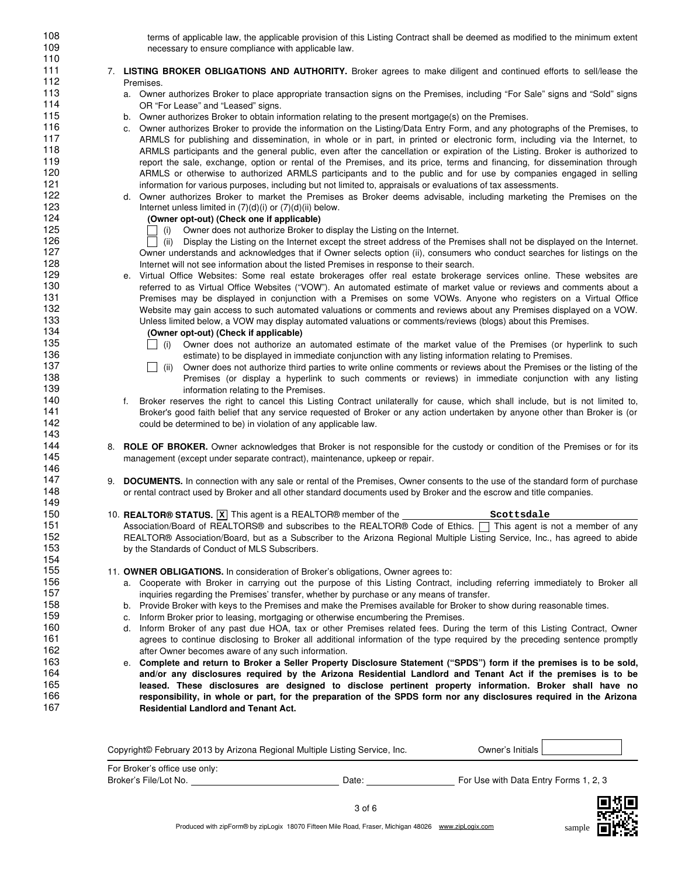| 108 | terms of applicable law, the applicable provision of this Listing Contract shall be deemed as modified to the minimum extent                  |
|-----|-----------------------------------------------------------------------------------------------------------------------------------------------|
| 109 | necessary to ensure compliance with applicable law.                                                                                           |
| 110 |                                                                                                                                               |
| 111 | 7. LISTING BROKER OBLIGATIONS AND AUTHORITY. Broker agrees to make diligent and continued efforts to sell/lease the                           |
| 112 | Premises.                                                                                                                                     |
| 113 | a. Owner authorizes Broker to place appropriate transaction signs on the Premises, including "For Sale" signs and "Sold" signs                |
| 114 | OR "For Lease" and "Leased" signs.                                                                                                            |
| 115 | b. Owner authorizes Broker to obtain information relating to the present mortgage(s) on the Premises.                                         |
| 116 | c. Owner authorizes Broker to provide the information on the Listing/Data Entry Form, and any photographs of the Premises, to                 |
| 117 | ARMLS for publishing and dissemination, in whole or in part, in printed or electronic form, including via the Internet, to                    |
| 118 | ARMLS participants and the general public, even after the cancellation or expiration of the Listing. Broker is authorized to                  |
| 119 | report the sale, exchange, option or rental of the Premises, and its price, terms and financing, for dissemination through                    |
| 120 | ARMLS or otherwise to authorized ARMLS participants and to the public and for use by companies engaged in selling                             |
| 121 | information for various purposes, including but not limited to, appraisals or evaluations of tax assessments.                                 |
| 122 | d. Owner authorizes Broker to market the Premises as Broker deems advisable, including marketing the Premises on the                          |
| 123 | Internet unless limited in $(7)(d)(i)$ or $(7)(d)(ii)$ below.                                                                                 |
| 124 | (Owner opt-out) (Check one if applicable)                                                                                                     |
| 125 | (i) Owner does not authorize Broker to display the Listing on the Internet.                                                                   |
| 126 | (ii) Display the Listing on the Internet except the street address of the Premises shall not be displayed on the Internet.                    |
| 127 | Owner understands and acknowledges that if Owner selects option (ii), consumers who conduct searches for listings on the                      |
| 128 | Internet will not see information about the listed Premises in response to their search.                                                      |
| 129 | Virtual Office Websites: Some real estate brokerages offer real estate brokerage services online. These websites are<br>е.                    |
| 130 | referred to as Virtual Office Websites ("VOW"). An automated estimate of market value or reviews and comments about a                         |
| 131 | Premises may be displayed in conjunction with a Premises on some VOWs. Anyone who registers on a Virtual Office                               |
| 132 | Website may gain access to such automated valuations or comments and reviews about any Premises displayed on a VOW.                           |
| 133 | Unless limited below, a VOW may display automated valuations or comments/reviews (blogs) about this Premises.                                 |
| 134 | (Owner opt-out) (Check if applicable)                                                                                                         |
| 135 | (i)<br>Owner does not authorize an automated estimate of the market value of the Premises (or hyperlink to such                               |
| 136 | estimate) to be displayed in immediate conjunction with any listing information relating to Premises.                                         |
| 137 | Owner does not authorize third parties to write online comments or reviews about the Premises or the listing of the<br>$\blacksquare$<br>(ii) |
| 138 | Premises (or display a hyperlink to such comments or reviews) in immediate conjunction with any listing                                       |
| 139 | information relating to the Premises.                                                                                                         |
| 140 | Broker reserves the right to cancel this Listing Contract unilaterally for cause, which shall include, but is not limited to,<br>f.           |
| 141 | Broker's good faith belief that any service requested of Broker or any action undertaken by anyone other than Broker is (or                   |
| 142 | could be determined to be) in violation of any applicable law.                                                                                |
| 143 |                                                                                                                                               |
| 144 |                                                                                                                                               |
| 145 | 8. ROLE OF BROKER. Owner acknowledges that Broker is not responsible for the custody or condition of the Premises or for its                  |
| 146 | management (except under separate contract), maintenance, upkeep or repair.                                                                   |
|     |                                                                                                                                               |
| 147 | <b>DOCUMENTS.</b> In connection with any sale or rental of the Premises, Owner consents to the use of the standard form of purchase<br>9.     |
| 148 | or rental contract used by Broker and all other standard documents used by Broker and the escrow and title companies.                         |
| 149 |                                                                                                                                               |
| 150 | Scottsdale                                                                                                                                    |
| 151 | Association/Board of REALTORS® and subscribes to the REALTOR® Code of Ethics. [ ] This agent is not a member of any                           |
| 152 | REALTOR® Association/Board, but as a Subscriber to the Arizona Regional Multiple Listing Service, Inc., has agreed to abide                   |
| 153 | by the Standards of Conduct of MLS Subscribers.                                                                                               |
| 154 |                                                                                                                                               |
| 155 | 11. OWNER OBLIGATIONS. In consideration of Broker's obligations, Owner agrees to:                                                             |
| 156 | a. Cooperate with Broker in carrying out the purpose of this Listing Contract, including referring immediately to Broker all                  |
| 157 | inguiries regarding the Premises' transfer, whether by purchase or any means of transfer.                                                     |
| 158 | b. Provide Broker with keys to the Premises and make the Premises available for Broker to show during reasonable times.                       |
| 159 | Inform Broker prior to leasing, mortgaging or otherwise encumbering the Premises.<br>C.                                                       |
| 160 | d. Inform Broker of any past due HOA, tax or other Premises related fees. During the term of this Listing Contract, Owner                     |
| 161 | agrees to continue disclosing to Broker all additional information of the type required by the preceding sentence promptly                    |
| 162 | after Owner becomes aware of any such information.                                                                                            |
| 163 | e. Complete and return to Broker a Seller Property Disclosure Statement ("SPDS") form if the premises is to be sold,                          |
| 164 | and/or any disclosures required by the Arizona Residential Landlord and Tenant Act if the premises is to be                                   |
| 165 | leased. These disclosures are designed to disclose pertinent property information. Broker shall have no                                       |
| 166 | responsibility, in whole or part, for the preparation of the SPDS form nor any disclosures required in the Arizona                            |
| 167 | <b>Residential Landlord and Tenant Act.</b>                                                                                                   |
|     |                                                                                                                                               |
|     |                                                                                                                                               |
|     | viabre February 2012 by Arizone Degional Multiple Lieting Compassion                                                                          |

| Copyright© February 2013 by Arizona Regional Multiple Listing Service, Inc. |       | Owner´s Initials I                    |
|-----------------------------------------------------------------------------|-------|---------------------------------------|
| For Broker's office use only:<br>Broker's File/Lot No.                      | Date: | For Use with Data Entry Forms 1, 2, 3 |
|                                                                             |       |                                       |

sample  $\Box$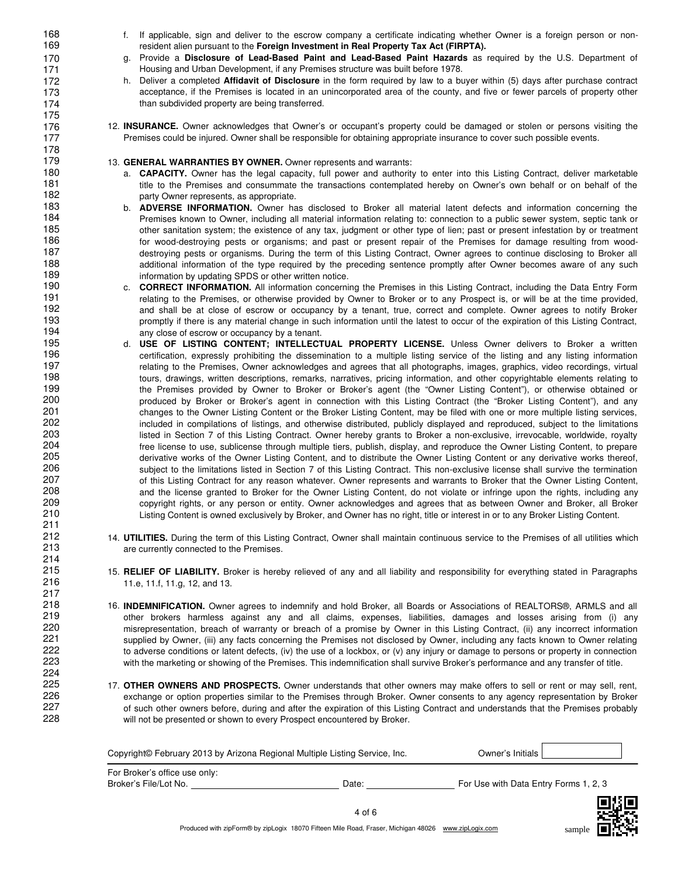168 f. If applicable, sign and deliver to the escrow company a certificate indicating whether Owner is a foreign person or non-169 resident alien pursuant to the **Foreign Investment in Real Property Tax Act (FIRPTA).**

> g. Provide a **Disclosure of Lead-Based Paint and Lead-Based Paint Hazards** as required by the U.S. Department of Housing and Urban Development, if any Premises structure was built before 1978.

- h. Deliver a completed **Affidavit of Disclosure** in the form required by law to a buyer within (5) days after purchase contract acceptance, if the Premises is located in an unincorporated area of the county, and five or fewer parcels of property other than subdivided property are being transferred.
- 12. **INSURANCE.** Owner acknowledges that Owner's or occupant's property could be damaged or stolen or persons visiting the Premises could be injured. Owner shall be responsible for obtaining appropriate insurance to cover such possible events.

#### 13. **GENERAL WARRANTIES BY OWNER.** Owner represents and warrants:

227 228

- a. **CAPACITY.** Owner has the legal capacity, full power and authority to enter into this Listing Contract, deliver marketable title to the Premises and consummate the transactions contemplated hereby on Owner's own behalf or on behalf of the party Owner represents, as appropriate.
- b. **ADVERSE INFORMATION.** Owner has disclosed to Broker all material latent defects and information concerning the Premises known to Owner, including all material information relating to: connection to a public sewer system, septic tank or other sanitation system; the existence of any tax, judgment or other type of lien; past or present infestation by or treatment for wood-destroying pests or organisms; and past or present repair of the Premises for damage resulting from wooddestroying pests or organisms. During the term of this Listing Contract, Owner agrees to continue disclosing to Broker all additional information of the type required by the preceding sentence promptly after Owner becomes aware of any such information by updating SPDS or other written notice.
- c. **CORRECT INFORMATION.** All information concerning the Premises in this Listing Contract, including the Data Entry Form relating to the Premises, or otherwise provided by Owner to Broker or to any Prospect is, or will be at the time provided, and shall be at close of escrow or occupancy by a tenant, true, correct and complete. Owner agrees to notify Broker promptly if there is any material change in such information until the latest to occur of the expiration of this Listing Contract, any close of escrow or occupancy by a tenant.
- d. **USE OF LISTING CONTENT; INTELLECTUAL PROPERTY LICENSE.** Unless Owner delivers to Broker a written certification, expressly prohibiting the dissemination to a multiple listing service of the listing and any listing information relating to the Premises, Owner acknowledges and agrees that all photographs, images, graphics, video recordings, virtual tours, drawings, written descriptions, remarks, narratives, pricing information, and other copyrightable elements relating to the Premises provided by Owner to Broker or Broker's agent (the "Owner Listing Content"), or otherwise obtained or produced by Broker or Broker's agent in connection with this Listing Contract (the "Broker Listing Content"), and any changes to the Owner Listing Content or the Broker Listing Content, may be filed with one or more multiple listing services, included in compilations of listings, and otherwise distributed, publicly displayed and reproduced, subject to the limitations listed in Section 7 of this Listing Contract. Owner hereby grants to Broker a non-exclusive, irrevocable, worldwide, royalty free license to use, sublicense through multiple tiers, publish, display, and reproduce the Owner Listing Content, to prepare derivative works of the Owner Listing Content, and to distribute the Owner Listing Content or any derivative works thereof, subject to the limitations listed in Section 7 of this Listing Contract. This non-exclusive license shall survive the termination of this Listing Contract for any reason whatever. Owner represents and warrants to Broker that the Owner Listing Content, and the license granted to Broker for the Owner Listing Content, do not violate or infringe upon the rights, including any copyright rights, or any person or entity. Owner acknowledges and agrees that as between Owner and Broker, all Broker Listing Content is owned exclusively by Broker, and Owner has no right, title or interest in or to any Broker Listing Content.
- 14. **UTILITIES.** During the term of this Listing Contract, Owner shall maintain continuous service to the Premises of all utilities which are currently connected to the Premises.
- 15. **RELIEF OF LIABILITY.** Broker is hereby relieved of any and all liability and responsibility for everything stated in Paragraphs 11.e, 11.f, 11.g, 12, and 13.
- 16. **INDEMNIFICATION.** Owner agrees to indemnify and hold Broker, all Boards or Associations of REALTORS®, ARMLS and all other brokers harmless against any and all claims, expenses, liabilities, damages and losses arising from (i) any misrepresentation, breach of warranty or breach of a promise by Owner in this Listing Contract, (ii) any incorrect information supplied by Owner, (iii) any facts concerning the Premises not disclosed by Owner, including any facts known to Owner relating to adverse conditions or latent defects, (iv) the use of a lockbox, or (v) any injury or damage to persons or property in connection with the marketing or showing of the Premises. This indemnification shall survive Broker's performance and any transfer of title.
- 17. **OTHER OWNERS AND PROSPECTS.** Owner understands that other owners may make offers to sell or rent or may sell, rent, exchange or option properties similar to the Premises through Broker. Owner consents to any agency representation by Broker of such other owners before, during and after the expiration of this Listing Contract and understands that the Premises probably will not be presented or shown to every Prospect encountered by Broker.

| Copyright© February 2013 by Arizona Regional Multiple Listing Service, Inc. |            | Owner's Initials I                    |  |
|-----------------------------------------------------------------------------|------------|---------------------------------------|--|
| For Broker's office use only:<br>Broker's File/Lot No.                      | Date:      | For Use with Data Entry Forms 1, 2, 3 |  |
|                                                                             | $4$ of $6$ |                                       |  |



Produced with zipForm® by zipLogix 18070 Fifteen Mile Road, Fraser, Michigan 48026 www.zipLogix.com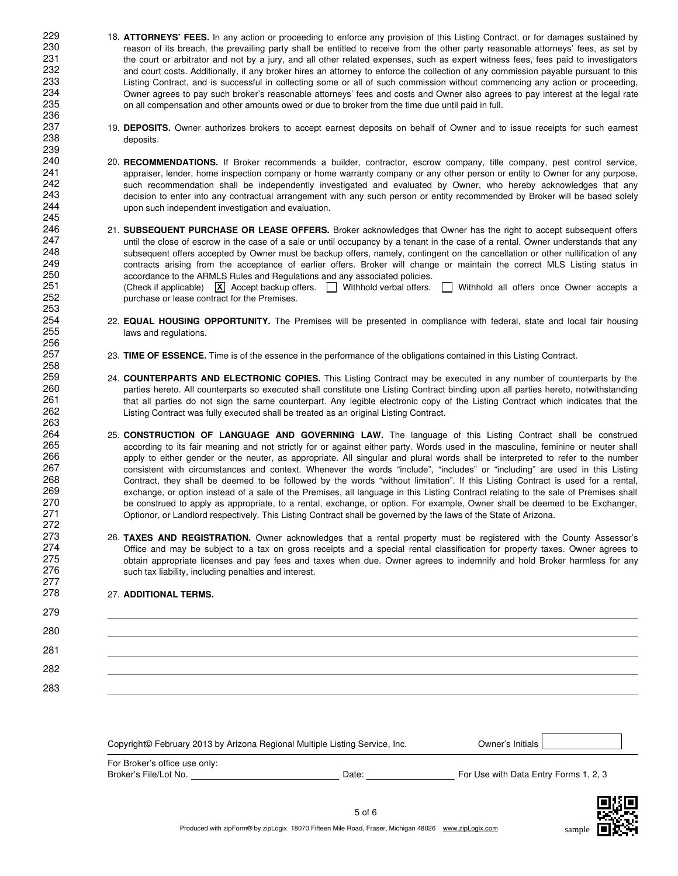- 18. **ATTORNEYS' FEES.** In any action or proceeding to enforce any provision of this Listing Contract, or for damages sustained by reason of its breach, the prevailing party shall be entitled to receive from the other party reasonable attorneys' fees, as set by the court or arbitrator and not by a jury, and all other related expenses, such as expert witness fees, fees paid to investigators and court costs. Additionally, if any broker hires an attorney to enforce the collection of any commission payable pursuant to this Listing Contract, and is successful in collecting some or all of such commission without commencing any action or proceeding, Owner agrees to pay such broker's reasonable attorneys' fees and costs and Owner also agrees to pay interest at the legal rate on all compensation and other amounts owed or due to broker from the time due until paid in full.
- 19. **DEPOSITS.** Owner authorizes brokers to accept earnest deposits on behalf of Owner and to issue receipts for such earnest deposits.
- 20. **RECOMMENDATIONS.** If Broker recommends a builder, contractor, escrow company, title company, pest control service, appraiser, lender, home inspection company or home warranty company or any other person or entity to Owner for any purpose, such recommendation shall be independently investigated and evaluated by Owner, who hereby acknowledges that any decision to enter into any contractual arrangement with any such person or entity recommended by Broker will be based solely upon such independent investigation and evaluation.
- 21. **SUBSEQUENT PURCHASE OR LEASE OFFERS.** Broker acknowledges that Owner has the right to accept subsequent offers until the close of escrow in the case of a sale or until occupancy by a tenant in the case of a rental. Owner understands that any subsequent offers accepted by Owner must be backup offers, namely, contingent on the cancellation or other nullification of any contracts arising from the acceptance of earlier offers. Broker will change or maintain the correct MLS Listing status in accordance to the ARMLS Rules and Regulations and any associated policies. (Check if applicable)  $\chi$  Accept backup offers.  $\Box$  Withhold verbal offers.  $\Box$  Withhold all offers once Owner accepts a purchase or lease contract for the Premises.
- 22. **EQUAL HOUSING OPPORTUNITY.** The Premises will be presented in compliance with federal, state and local fair housing laws and regulations.
- 23. **TIME OF ESSENCE.** Time is of the essence in the performance of the obligations contained in this Listing Contract.
- 24. **COUNTERPARTS AND ELECTRONIC COPIES.** This Listing Contract may be executed in any number of counterparts by the parties hereto. All counterparts so executed shall constitute one Listing Contract binding upon all parties hereto, notwithstanding that all parties do not sign the same counterpart. Any legible electronic copy of the Listing Contract which indicates that the Listing Contract was fully executed shall be treated as an original Listing Contract.
- 25. **CONSTRUCTION OF LANGUAGE AND GOVERNING LAW.** The language of this Listing Contract shall be construed according to its fair meaning and not strictly for or against either party. Words used in the masculine, feminine or neuter shall apply to either gender or the neuter, as appropriate. All singular and plural words shall be interpreted to refer to the number consistent with circumstances and context. Whenever the words "include", "includes" or "including" are used in this Listing Contract, they shall be deemed to be followed by the words "without limitation". If this Listing Contract is used for a rental, exchange, or option instead of a sale of the Premises, all language in this Listing Contract relating to the sale of Premises shall be construed to apply as appropriate, to a rental, exchange, or option. For example, Owner shall be deemed to be Exchanger, Optionor, or Landlord respectively. This Listing Contract shall be governed by the laws of the State of Arizona.
- 26. **TAXES AND REGISTRATION.** Owner acknowledges that a rental property must be registered with the County Assessor's Office and may be subject to a tax on gross receipts and a special rental classification for property taxes. Owner agrees to obtain appropriate licenses and pay fees and taxes when due. Owner agrees to indemnify and hold Broker harmless for any such tax liability, including penalties and interest.

#### 27. **ADDITIONAL TERMS.**

| 280 |  |
|-----|--|
| 281 |  |
| 282 |  |
| 283 |  |

| Copyright© February 2013 by Arizona Regional Multiple Listing Service, Inc. |       | Owner's Initials I                    |
|-----------------------------------------------------------------------------|-------|---------------------------------------|
| For Broker's office use only:<br>Broker's File/Lot No.                      | Date: | For Use with Data Entry Forms 1, 2, 3 |
|                                                                             |       |                                       |



sample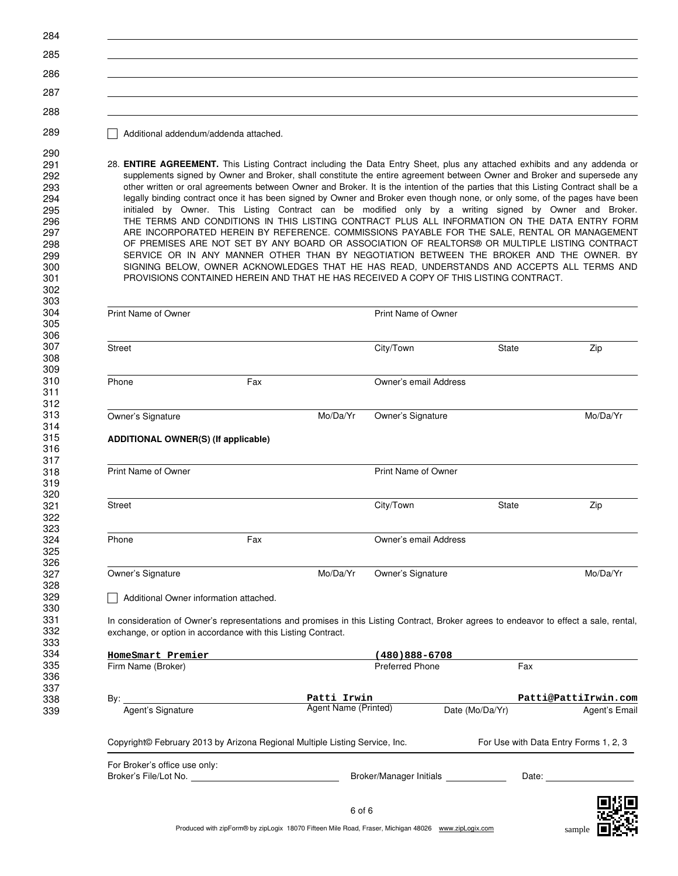Additional addendum/addenda attached.

 

 

 

 

 320<br>321

 323<br>324

28. **ENTIRE AGREEMENT.** This Listing Contract including the Data Entry Sheet, plus any attached exhibits and any addenda or supplements signed by Owner and Broker, shall constitute the entire agreement between Owner and Broker and supersede any other written or oral agreements between Owner and Broker. It is the intention of the parties that this Listing Contract shall be a legally binding contract once it has been signed by Owner and Broker even though none, or only some, of the pages have been initialed by Owner. This Listing Contract can be modified only by a writing signed by Owner and Broker. THE TERMS AND CONDITIONS IN THIS LISTING CONTRACT PLUS ALL INFORMATION ON THE DATA ENTRY FORM ARE INCORPORATED HEREIN BY REFERENCE. COMMISSIONS PAYABLE FOR THE SALE, RENTAL OR MANAGEMENT OF PREMISES ARE NOT SET BY ANY BOARD OR ASSOCIATION OF REALTORS® OR MULTIPLE LISTING CONTRACT SERVICE OR IN ANY MANNER OTHER THAN BY NEGOTIATION BETWEEN THE BROKER AND THE OWNER. BY SIGNING BELOW, OWNER ACKNOWLEDGES THAT HE HAS READ, UNDERSTANDS AND ACCEPTS ALL TERMS AND PROVISIONS CONTAINED HEREIN AND THAT HE HAS RECEIVED A COPY OF THIS LISTING CONTRACT.

|                                         |                                                                                                                                                                                                         |                                     | <b>Print Name of Owner</b>           |                 |                                       |
|-----------------------------------------|---------------------------------------------------------------------------------------------------------------------------------------------------------------------------------------------------------|-------------------------------------|--------------------------------------|-----------------|---------------------------------------|
| <b>Street</b>                           |                                                                                                                                                                                                         |                                     | City/Town                            | <b>State</b>    | Zip                                   |
| Phone                                   | Fax                                                                                                                                                                                                     |                                     | Owner's email Address                |                 |                                       |
| Owner's Signature                       |                                                                                                                                                                                                         | Mo/Da/Yr                            | Owner's Signature                    |                 | Mo/Da/Yr                              |
|                                         | <b>ADDITIONAL OWNER(S) (If applicable)</b>                                                                                                                                                              |                                     |                                      |                 |                                       |
| <b>Print Name of Owner</b>              |                                                                                                                                                                                                         |                                     | <b>Print Name of Owner</b>           |                 |                                       |
| Street                                  |                                                                                                                                                                                                         |                                     | City/Town                            | State           | Zip                                   |
| Phone                                   | Fax                                                                                                                                                                                                     |                                     | Owner's email Address                |                 |                                       |
| Owner's Signature                       |                                                                                                                                                                                                         | Mo/Da/Yr                            | Owner's Signature                    |                 | Mo/Da/Yr                              |
|                                         |                                                                                                                                                                                                         |                                     |                                      |                 |                                       |
|                                         | Additional Owner information attached.                                                                                                                                                                  |                                     |                                      |                 |                                       |
|                                         | In consideration of Owner's representations and promises in this Listing Contract, Broker agrees to endeavor to effect a sale, rental,<br>exchange, or option in accordance with this Listing Contract. |                                     |                                      |                 |                                       |
|                                         |                                                                                                                                                                                                         |                                     |                                      |                 |                                       |
|                                         |                                                                                                                                                                                                         |                                     | $(480)888 - 6708$<br>Preferred Phone | Fax             |                                       |
| HomeSmart Premier<br>Firm Name (Broker) |                                                                                                                                                                                                         |                                     |                                      |                 |                                       |
| By:<br>Agent's Signature                |                                                                                                                                                                                                         | Patti Irwin<br>Agent Name (Printed) |                                      | Date (Mo/Da/Yr) | Patti@PattiIrwin.com<br>Agent's Email |
|                                         | Copyright© February 2013 by Arizona Regional Multiple Listing Service, Inc.                                                                                                                             |                                     |                                      |                 | For Use with Data Entry Forms 1, 2, 3 |

sample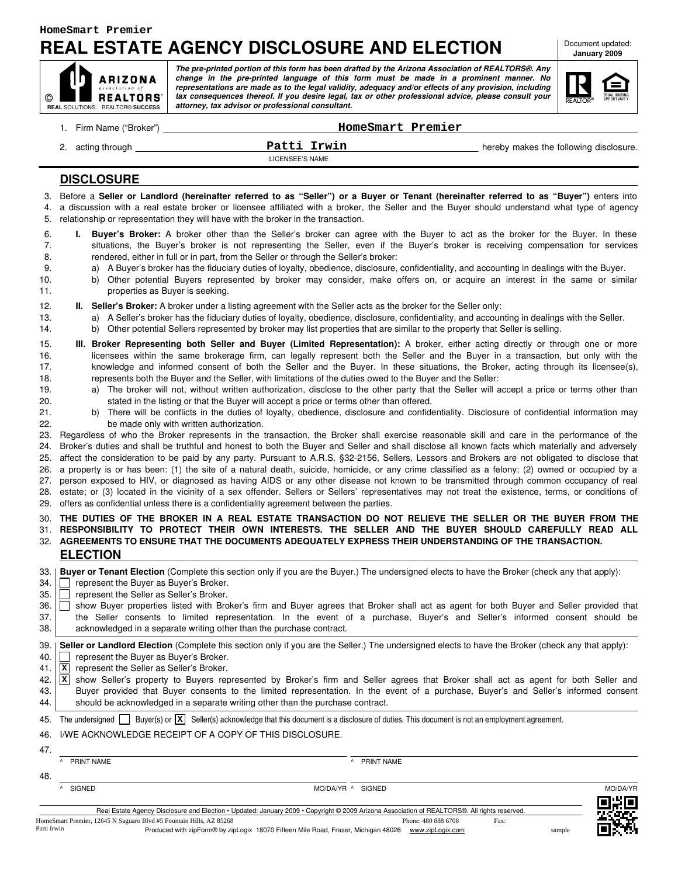$\circ$ 

## **REAL ESTATE AGENCY DISCLOSURE AND ELECTION**

Document updated: **January 2009**

| <b>ID</b> ARIZONA<br>association of<br>REALTORS'<br>$\circ$ l | The pre-printed portion of this form has been drafted by the Arizona Association of REALTORS®. Any<br>change in the pre-printed language of this form must be made in a prominent manner. No<br>representations are made as to the legal validity, adequacy and/or effects of any provision, including<br>tax consequences thereof. If you desire legal, tax or other professional advice, please consult your |
|---------------------------------------------------------------|----------------------------------------------------------------------------------------------------------------------------------------------------------------------------------------------------------------------------------------------------------------------------------------------------------------------------------------------------------------------------------------------------------------|
| <b>REAL SOLUTIONS. REALTOR® SUCCESS</b>                       | attorney, tax advisor or professional consultant.                                                                                                                                                                                                                                                                                                                                                              |

| EQUAL HOUSING<br>OPPORTUNITY |
|------------------------------|
|                              |

|                                                      |                                                                                                                                                            | HomeSmart Premier                                                                                                                                                                                                                                                                                                                                                                                                                                                                                                                                                                                                                                                                                                                                                                                                                                                                                                                                                                                                                                                                                                                                                                                                                                                                                                                                                                                                                                                                                                                                                                                                                                                                                                                                                                                                                                                                                                                         |                                        |
|------------------------------------------------------|------------------------------------------------------------------------------------------------------------------------------------------------------------|-------------------------------------------------------------------------------------------------------------------------------------------------------------------------------------------------------------------------------------------------------------------------------------------------------------------------------------------------------------------------------------------------------------------------------------------------------------------------------------------------------------------------------------------------------------------------------------------------------------------------------------------------------------------------------------------------------------------------------------------------------------------------------------------------------------------------------------------------------------------------------------------------------------------------------------------------------------------------------------------------------------------------------------------------------------------------------------------------------------------------------------------------------------------------------------------------------------------------------------------------------------------------------------------------------------------------------------------------------------------------------------------------------------------------------------------------------------------------------------------------------------------------------------------------------------------------------------------------------------------------------------------------------------------------------------------------------------------------------------------------------------------------------------------------------------------------------------------------------------------------------------------------------------------------------------------|----------------------------------------|
|                                                      | 2. acting through                                                                                                                                          | Patti Irwin<br><b>LICENSEE'S NAME</b>                                                                                                                                                                                                                                                                                                                                                                                                                                                                                                                                                                                                                                                                                                                                                                                                                                                                                                                                                                                                                                                                                                                                                                                                                                                                                                                                                                                                                                                                                                                                                                                                                                                                                                                                                                                                                                                                                                     | hereby makes the following disclosure. |
|                                                      | <b>DISCLOSURE</b>                                                                                                                                          |                                                                                                                                                                                                                                                                                                                                                                                                                                                                                                                                                                                                                                                                                                                                                                                                                                                                                                                                                                                                                                                                                                                                                                                                                                                                                                                                                                                                                                                                                                                                                                                                                                                                                                                                                                                                                                                                                                                                           |                                        |
| 4.<br>5.                                             | relationship or representation they will have with the broker in the transaction.                                                                          | 3. Before a Seller or Landlord (hereinafter referred to as "Seller") or a Buyer or Tenant (hereinafter referred to as "Buyer") enters into<br>a discussion with a real estate broker or licensee affiliated with a broker, the Seller and the Buyer should understand what type of agency                                                                                                                                                                                                                                                                                                                                                                                                                                                                                                                                                                                                                                                                                                                                                                                                                                                                                                                                                                                                                                                                                                                                                                                                                                                                                                                                                                                                                                                                                                                                                                                                                                                 |                                        |
| 6.<br>7.<br>8.<br>9.<br>10.<br>11.                   | properties as Buyer is seeking.                                                                                                                            | I. Buyer's Broker: A broker other than the Seller's broker can agree with the Buyer to act as the broker for the Buyer. In these<br>situations, the Buyer's broker is not representing the Seller, even if the Buyer's broker is receiving compensation for services<br>rendered, either in full or in part, from the Seller or through the Seller's broker:<br>a) A Buyer's broker has the fiduciary duties of loyalty, obedience, disclosure, confidentiality, and accounting in dealings with the Buyer.<br>b) Other potential Buyers represented by broker may consider, make offers on, or acquire an interest in the same or similar                                                                                                                                                                                                                                                                                                                                                                                                                                                                                                                                                                                                                                                                                                                                                                                                                                                                                                                                                                                                                                                                                                                                                                                                                                                                                                |                                        |
| 12.<br>13.<br>14.                                    |                                                                                                                                                            | II. Seller's Broker: A broker under a listing agreement with the Seller acts as the broker for the Seller only:<br>a) A Seller's broker has the fiduciary duties of loyalty, obedience, disclosure, confidentiality, and accounting in dealings with the Seller.<br>b) Other potential Sellers represented by broker may list properties that are similar to the property that Seller is selling.                                                                                                                                                                                                                                                                                                                                                                                                                                                                                                                                                                                                                                                                                                                                                                                                                                                                                                                                                                                                                                                                                                                                                                                                                                                                                                                                                                                                                                                                                                                                         |                                        |
| 15.<br>16.<br>17.<br>18.<br>19.<br>20.<br>21.<br>22. | be made only with written authorization.                                                                                                                   | III. Broker Representing both Seller and Buyer (Limited Representation): A broker, either acting directly or through one or more<br>licensees within the same brokerage firm, can legally represent both the Seller and the Buyer in a transaction, but only with the<br>knowledge and informed consent of both the Seller and the Buyer. In these situations, the Broker, acting through its licensee(s),<br>represents both the Buyer and the Seller, with limitations of the duties owed to the Buyer and the Seller:<br>a) The broker will not, without written authorization, disclose to the other party that the Seller will accept a price or terms other than<br>stated in the listing or that the Buyer will accept a price or terms other than offered.<br>b) There will be conflicts in the duties of loyalty, obedience, disclosure and confidentiality. Disclosure of confidential information may<br>23. Regardless of who the Broker represents in the transaction, the Broker shall exercise reasonable skill and care in the performance of the<br>24. Broker's duties and shall be truthful and honest to both the Buyer and Seller and shall disclose all known facts which materially and adversely<br>25. affect the consideration to be paid by any party. Pursuant to A.R.S. §32-2156, Sellers, Lessors and Brokers are not obligated to disclose that<br>26. a property is or has been: (1) the site of a natural death, suicide, homicide, or any crime classified as a felony; (2) owned or occupied by a<br>27. person exposed to HIV, or diagnosed as having AIDS or any other disease not known to be transmitted through common occupancy of real<br>28. estate; or (3) located in the vicinity of a sex offender. Sellers or Sellers' representatives may not treat the existence, terms, or conditions of<br>29. offers as confidential unless there is a confidentiality agreement between the parties. |                                        |
|                                                      |                                                                                                                                                            | 30. THE DUTIES OF THE BROKER IN A REAL ESTATE TRANSACTION DO NOT RELIEVE THE SELLER OR THE BUYER FROM THE<br>31. RESPONSIBILITY TO PROTECT THEIR OWN INTERESTS. THE SELLER AND THE BUYER SHOULD CAREFULLY READ ALL<br>32.   AGREEMENTS TO ENSURE THAT THE DOCUMENTS ADEQUATELY EXPRESS THEIR UNDERSTANDING OF THE TRANSACTION.                                                                                                                                                                                                                                                                                                                                                                                                                                                                                                                                                                                                                                                                                                                                                                                                                                                                                                                                                                                                                                                                                                                                                                                                                                                                                                                                                                                                                                                                                                                                                                                                            |                                        |
|                                                      | <b>ELECTION</b>                                                                                                                                            |                                                                                                                                                                                                                                                                                                                                                                                                                                                                                                                                                                                                                                                                                                                                                                                                                                                                                                                                                                                                                                                                                                                                                                                                                                                                                                                                                                                                                                                                                                                                                                                                                                                                                                                                                                                                                                                                                                                                           |                                        |
| 33. I<br>34.<br>35.<br>36.<br>37.<br>38.             | represent the Buyer as Buyer's Broker.<br>represent the Seller as Seller's Broker.<br>acknowledged in a separate writing other than the purchase contract. | Buyer or Tenant Election (Complete this section only if you are the Buyer.) The undersigned elects to have the Broker (check any that apply):<br>show Buyer properties listed with Broker's firm and Buyer agrees that Broker shall act as agent for both Buyer and Seller provided that<br>the Seller consents to limited representation. In the event of a purchase, Buyer's and Seller's informed consent should be                                                                                                                                                                                                                                                                                                                                                                                                                                                                                                                                                                                                                                                                                                                                                                                                                                                                                                                                                                                                                                                                                                                                                                                                                                                                                                                                                                                                                                                                                                                    |                                        |
| 39. l<br>40.<br>41.<br>42.<br>43.<br>44.             | represent the Buyer as Buyer's Broker.<br>represent the Seller as Seller's Broker.<br> x<br> x                                                             | Seller or Landlord Election (Complete this section only if you are the Seller.) The undersigned elects to have the Broker (check any that apply):<br>show Seller's property to Buyers represented by Broker's firm and Seller agrees that Broker shall act as agent for both Seller and<br>Buyer provided that Buyer consents to the limited representation. In the event of a purchase, Buyer's and Seller's informed consent<br>should be acknowledged in a separate writing other than the purchase contract.                                                                                                                                                                                                                                                                                                                                                                                                                                                                                                                                                                                                                                                                                                                                                                                                                                                                                                                                                                                                                                                                                                                                                                                                                                                                                                                                                                                                                          |                                        |
| 46.<br>47.                                           | I/WE ACKNOWLEDGE RECEIPT OF A COPY OF THIS DISCLOSURE.                                                                                                     | 45. The undersigned $\Box$ Buyer(s) or $\overline{\mathbf{x}}$ Seller(s) acknowledge that this document is a disclosure of duties. This document is not an employment agreement.                                                                                                                                                                                                                                                                                                                                                                                                                                                                                                                                                                                                                                                                                                                                                                                                                                                                                                                                                                                                                                                                                                                                                                                                                                                                                                                                                                                                                                                                                                                                                                                                                                                                                                                                                          |                                        |
|                                                      | $\boldsymbol{\wedge}$<br>PRINT NAME                                                                                                                        | ^ PRINT NAME                                                                                                                                                                                                                                                                                                                                                                                                                                                                                                                                                                                                                                                                                                                                                                                                                                                                                                                                                                                                                                                                                                                                                                                                                                                                                                                                                                                                                                                                                                                                                                                                                                                                                                                                                                                                                                                                                                                              |                                        |
| 48.                                                  |                                                                                                                                                            |                                                                                                                                                                                                                                                                                                                                                                                                                                                                                                                                                                                                                                                                                                                                                                                                                                                                                                                                                                                                                                                                                                                                                                                                                                                                                                                                                                                                                                                                                                                                                                                                                                                                                                                                                                                                                                                                                                                                           |                                        |
|                                                      | ^ SIGNED                                                                                                                                                   | MO/DA/YR ^ SIGNED                                                                                                                                                                                                                                                                                                                                                                                                                                                                                                                                                                                                                                                                                                                                                                                                                                                                                                                                                                                                                                                                                                                                                                                                                                                                                                                                                                                                                                                                                                                                                                                                                                                                                                                                                                                                                                                                                                                         | MO/DA/YR                               |



sample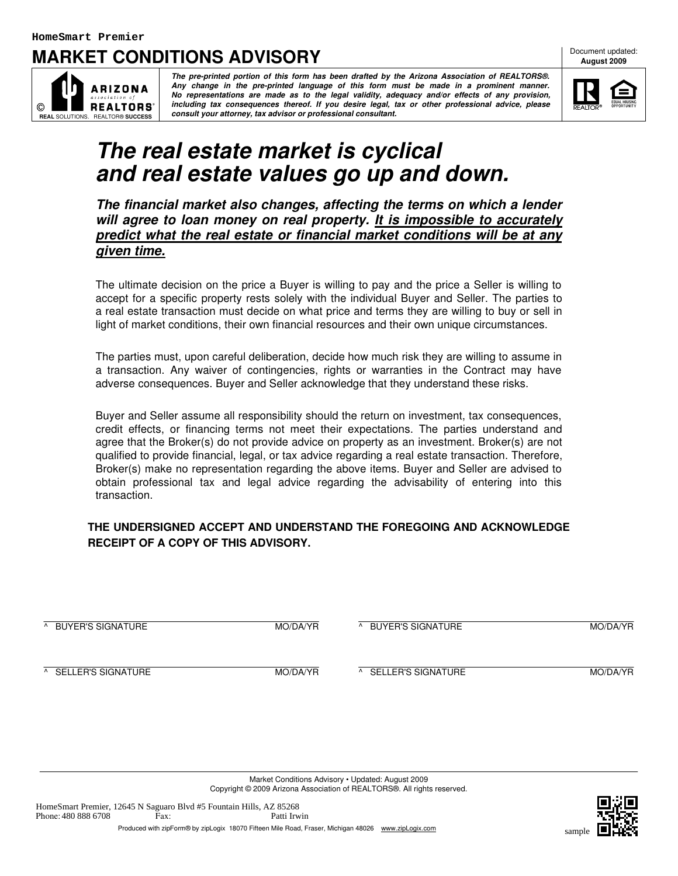## **MARKET CONDITIONS ADVISORY**

Document updated: **August 2009**



**The pre-printed portion of this form has been drafted by the Arizona Association of REALTORS®. Any change in the pre-printed language of this form must be made in a prominent manner. No representations are made as to the legal validity, adequacy and/or effects of any provision, including tax consequences thereof. If you desire legal, tax or other professional advice, please consult your attorney, tax advisor or professional consultant.**



# **The real estate market is cyclical and real estate values go up and down.**

**The financial market also changes, affecting the terms on which a lender will agree to loan money on real property. It is impossible to accurately predict what the real estate or financial market conditions will be at any given time.**

The ultimate decision on the price a Buyer is willing to pay and the price a Seller is willing to accept for a specific property rests solely with the individual Buyer and Seller. The parties to a real estate transaction must decide on what price and terms they are willing to buy or sell in light of market conditions, their own financial resources and their own unique circumstances.

The parties must, upon careful deliberation, decide how much risk they are willing to assume in a transaction. Any waiver of contingencies, rights or warranties in the Contract may have adverse consequences. Buyer and Seller acknowledge that they understand these risks.

Buyer and Seller assume all responsibility should the return on investment, tax consequences, credit effects, or financing terms not meet their expectations. The parties understand and agree that the Broker(s) do not provide advice on property as an investment. Broker(s) are not qualified to provide financial, legal, or tax advice regarding a real estate transaction. Therefore, Broker(s) make no representation regarding the above items. Buyer and Seller are advised to obtain professional tax and legal advice regarding the advisability of entering into this transaction.

#### **THE UNDERSIGNED ACCEPT AND UNDERSTAND THE FOREGOING AND ACKNOWLEDGE RECEIPT OF A COPY OF THIS ADVISORY.**

| BUYER'S SIGNATURE<br>$\Lambda$ | MO/DA/YR | BUYER'S SIGNATURE<br>$\mathcal{L}$       | MO/DA/YR |
|--------------------------------|----------|------------------------------------------|----------|
| A SELLER'S SIGNATURE           | MO/DA/YR | SELLER'S SIGNATURE<br>$\mathbf{\Lambda}$ | MO/DA/YR |

Market Conditions Advisory • Updated: August 2009 Copyright © 2009 Arizona Association of REALTORS®. All rights reserved.

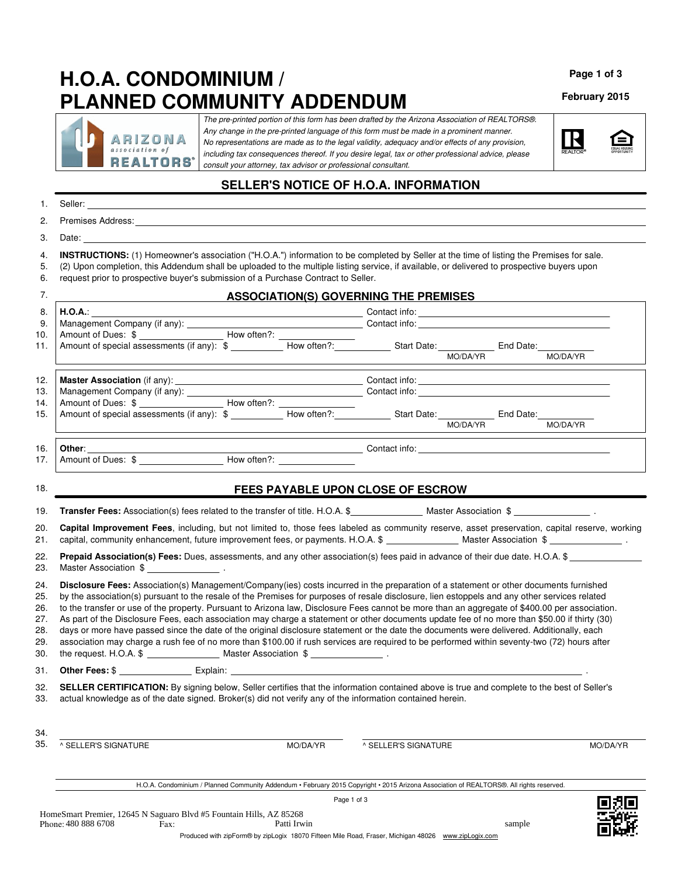# **H.O.A. CONDOMINIUM / PLANNED COMMUNITY ADDENDUM**

ARIZONA association of **REALTORS'** 

The pre-printed portion of this form has been drafted by the Arizona Association of REALTORS®. Any change in the pre-printed language of this form must be made in a prominent manner. No representations are made as to the legal validity, adequacy and/or effects of any provision, including tax consequences thereof. If you desire legal, tax or other professional advice, please consult your attorney, tax advisor or professional consultant.

### **SELLER'S NOTICE OF H.O.A. INFORMATION**

| 1.                                            |                                                                                                                                                                                                                                                                                                                                                                                                                                                                                                                                                                                                                                                                                                                                                                                                                                                                                       |                            |                                                                                                                                                                                                                                                                                                                                                                                                                                                                                            |        |          |
|-----------------------------------------------|---------------------------------------------------------------------------------------------------------------------------------------------------------------------------------------------------------------------------------------------------------------------------------------------------------------------------------------------------------------------------------------------------------------------------------------------------------------------------------------------------------------------------------------------------------------------------------------------------------------------------------------------------------------------------------------------------------------------------------------------------------------------------------------------------------------------------------------------------------------------------------------|----------------------------|--------------------------------------------------------------------------------------------------------------------------------------------------------------------------------------------------------------------------------------------------------------------------------------------------------------------------------------------------------------------------------------------------------------------------------------------------------------------------------------------|--------|----------|
| 2.                                            |                                                                                                                                                                                                                                                                                                                                                                                                                                                                                                                                                                                                                                                                                                                                                                                                                                                                                       |                            |                                                                                                                                                                                                                                                                                                                                                                                                                                                                                            |        |          |
| 3.                                            |                                                                                                                                                                                                                                                                                                                                                                                                                                                                                                                                                                                                                                                                                                                                                                                                                                                                                       |                            |                                                                                                                                                                                                                                                                                                                                                                                                                                                                                            |        |          |
| 4.<br>5.<br>6.                                | INSTRUCTIONS: (1) Homeowner's association ("H.O.A.") information to be completed by Seller at the time of listing the Premises for sale.<br>(2) Upon completion, this Addendum shall be uploaded to the multiple listing service, if available, or delivered to prospective buyers upon<br>request prior to prospective buyer's submission of a Purchase Contract to Seller.                                                                                                                                                                                                                                                                                                                                                                                                                                                                                                          |                            |                                                                                                                                                                                                                                                                                                                                                                                                                                                                                            |        |          |
| 7.                                            |                                                                                                                                                                                                                                                                                                                                                                                                                                                                                                                                                                                                                                                                                                                                                                                                                                                                                       |                            | <b>ASSOCIATION(S) GOVERNING THE PREMISES</b>                                                                                                                                                                                                                                                                                                                                                                                                                                               |        |          |
| 8.<br>9.<br>10.<br>11.                        | H.O.A.:<br>Amount of special assessments (if any): \$ MO/DA/YR Amount of special assessments (if any): $\frac{1}{2}$ How often?: MO/DA/YR MO/DA/YR MO/DA/YR MO/DA/YR MO/DA/YR MO/DA/YR MO/DA/YR MO/DA/YR MO/DA/YR MO/DA/YR MO/DA/YR MO/DA/YR M                                                                                                                                                                                                                                                                                                                                                                                                                                                                                                                                                                                                                                        |                            | $\blacksquare$ $\blacksquare$ $\blacksquare$ $\blacksquare$ $\blacksquare$ $\blacksquare$ $\blacksquare$ $\blacksquare$ $\blacksquare$ $\blacksquare$ $\blacksquare$ $\blacksquare$ $\blacksquare$ $\blacksquare$ $\blacksquare$ $\blacksquare$ $\blacksquare$ $\blacksquare$ $\blacksquare$ $\blacksquare$ $\blacksquare$ $\blacksquare$ $\blacksquare$ $\blacksquare$ $\blacksquare$ $\blacksquare$ $\blacksquare$ $\blacksquare$ $\blacksquare$ $\blacksquare$ $\blacksquare$ $\blacks$ |        |          |
| 12.<br>13.<br>14.<br>15.                      |                                                                                                                                                                                                                                                                                                                                                                                                                                                                                                                                                                                                                                                                                                                                                                                                                                                                                       |                            |                                                                                                                                                                                                                                                                                                                                                                                                                                                                                            |        | MO/DA/YR |
| 16.<br>17.                                    |                                                                                                                                                                                                                                                                                                                                                                                                                                                                                                                                                                                                                                                                                                                                                                                                                                                                                       |                            |                                                                                                                                                                                                                                                                                                                                                                                                                                                                                            |        |          |
| 18.                                           |                                                                                                                                                                                                                                                                                                                                                                                                                                                                                                                                                                                                                                                                                                                                                                                                                                                                                       |                            | FEES PAYABLE UPON CLOSE OF ESCROW                                                                                                                                                                                                                                                                                                                                                                                                                                                          |        |          |
| 19.                                           |                                                                                                                                                                                                                                                                                                                                                                                                                                                                                                                                                                                                                                                                                                                                                                                                                                                                                       |                            |                                                                                                                                                                                                                                                                                                                                                                                                                                                                                            |        |          |
| 20.<br>21.                                    | Capital Improvement Fees, including, but not limited to, those fees labeled as community reserve, asset preservation, capital reserve, working                                                                                                                                                                                                                                                                                                                                                                                                                                                                                                                                                                                                                                                                                                                                        |                            |                                                                                                                                                                                                                                                                                                                                                                                                                                                                                            |        |          |
| 22.<br>23.                                    | Prepaid Association(s) Fees: Dues, assessments, and any other association(s) fees paid in advance of their due date. H.O.A. \$<br>Master Association \$ ___________________.                                                                                                                                                                                                                                                                                                                                                                                                                                                                                                                                                                                                                                                                                                          |                            |                                                                                                                                                                                                                                                                                                                                                                                                                                                                                            |        |          |
| 24.<br>25.<br>26.<br>27.<br>28.<br>29.<br>30. | Disclosure Fees: Association(s) Management/Company(ies) costs incurred in the preparation of a statement or other documents furnished<br>by the association(s) pursuant to the resale of the Premises for purposes of resale disclosure, lien estoppels and any other services related<br>to the transfer or use of the property. Pursuant to Arizona law, Disclosure Fees cannot be more than an aggregate of \$400.00 per association.<br>As part of the Disclosure Fees, each association may charge a statement or other documents update fee of no more than \$50.00 if thirty (30)<br>days or more have passed since the date of the original disclosure statement or the date the documents were delivered. Additionally, each<br>association may charge a rush fee of no more than \$100.00 if rush services are required to be performed within seventy-two (72) hours after |                            |                                                                                                                                                                                                                                                                                                                                                                                                                                                                                            |        |          |
| 31.                                           |                                                                                                                                                                                                                                                                                                                                                                                                                                                                                                                                                                                                                                                                                                                                                                                                                                                                                       |                            |                                                                                                                                                                                                                                                                                                                                                                                                                                                                                            |        |          |
| 32.<br>33.                                    | SELLER CERTIFICATION: By signing below, Seller certifies that the information contained above is true and complete to the best of Seller's<br>actual knowledge as of the date signed. Broker(s) did not verify any of the information contained herein.                                                                                                                                                                                                                                                                                                                                                                                                                                                                                                                                                                                                                               |                            |                                                                                                                                                                                                                                                                                                                                                                                                                                                                                            |        |          |
| 34.<br>35.                                    | ^ SELLER'S SIGNATURE                                                                                                                                                                                                                                                                                                                                                                                                                                                                                                                                                                                                                                                                                                                                                                                                                                                                  | MO/DA/YR                   | ^ SELLER'S SIGNATURE                                                                                                                                                                                                                                                                                                                                                                                                                                                                       |        | MO/DA/YR |
|                                               | H.O.A. Condominium / Planned Community Addendum · February 2015 Copyright · 2015 Arizona Association of REALTORS®. All rights reserved.                                                                                                                                                                                                                                                                                                                                                                                                                                                                                                                                                                                                                                                                                                                                               |                            |                                                                                                                                                                                                                                                                                                                                                                                                                                                                                            |        |          |
|                                               | HomeSmart Premier, 12645 N Saguaro Blvd #5 Fountain Hills, AZ 85268<br>Phone: 480 888 6708<br>Fax:<br>Produced with zinForm® by zinLogix 18070 Fifteen Mile Boad, Fraser, Michigan 48026, www.zinLogix.com                                                                                                                                                                                                                                                                                                                                                                                                                                                                                                                                                                                                                                                                            | Page 1 of 3<br>Patti Irwin |                                                                                                                                                                                                                                                                                                                                                                                                                                                                                            | sample |          |

**Page 1 of 3**

**February 2015**

臼

R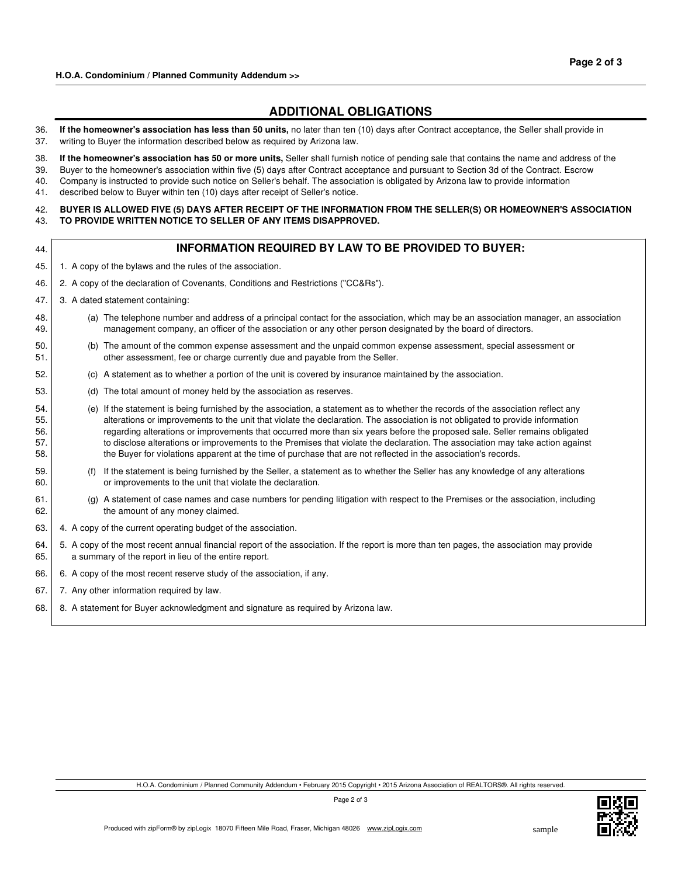### **ADDITIONAL OBLIGATIONS**

- 36. **If the homeowner's association has less than 50 units,** no later than ten (10) days after Contract acceptance, the Seller shall provide in 37. writing to Buyer the information described below as required by Arizona law.
- 38. **If the homeowner's association has 50 or more units,** Seller shall furnish notice of pending sale that contains the name and address of the
- 39. Buyer to the homeowner's association within five (5) days after Contract acceptance and pursuant to Section 3d of the Contract. Escrow
- 40. Company is instructed to provide such notice on Seller's behalf. The association is obligated by Arizona law to provide information
- 41. described below to Buyer within ten (10) days after receipt of Seller's notice.

42. 43. **BUYER IS ALLOWED FIVE (5) DAYS AFTER RECEIPT OF THE INFORMATION FROM THE SELLER(S) OR HOMEOWNER'S ASSOCIATION TO PROVIDE WRlTTEN NOTICE TO SELLER OF ANY ITEMS DISAPPROVED.**

| 44.                             | <b>INFORMATION REQUIRED BY LAW TO BE PROVIDED TO BUYER:</b>                                                                                                                                                                                                                                                                                                                                                                                                                                                                                                                                                                                        |
|---------------------------------|----------------------------------------------------------------------------------------------------------------------------------------------------------------------------------------------------------------------------------------------------------------------------------------------------------------------------------------------------------------------------------------------------------------------------------------------------------------------------------------------------------------------------------------------------------------------------------------------------------------------------------------------------|
| 45.                             | 1. A copy of the bylaws and the rules of the association.                                                                                                                                                                                                                                                                                                                                                                                                                                                                                                                                                                                          |
| 46.                             | 2. A copy of the declaration of Covenants, Conditions and Restrictions ("CC&Rs").                                                                                                                                                                                                                                                                                                                                                                                                                                                                                                                                                                  |
| 47.                             | 3. A dated statement containing:                                                                                                                                                                                                                                                                                                                                                                                                                                                                                                                                                                                                                   |
| 48.<br>49.                      | (a) The telephone number and address of a principal contact for the association, which may be an association manager, an association<br>management company, an officer of the association or any other person designated by the board of directors.                                                                                                                                                                                                                                                                                                                                                                                                |
| 50.<br>51.                      | (b) The amount of the common expense assessment and the unpaid common expense assessment, special assessment or<br>other assessment, fee or charge currently due and payable from the Seller.                                                                                                                                                                                                                                                                                                                                                                                                                                                      |
| 52.                             | (c) A statement as to whether a portion of the unit is covered by insurance maintained by the association.                                                                                                                                                                                                                                                                                                                                                                                                                                                                                                                                         |
| 53.                             | The total amount of money held by the association as reserves.<br>(d)                                                                                                                                                                                                                                                                                                                                                                                                                                                                                                                                                                              |
| 54.<br>55.<br>56.<br>57.<br>58. | (e) If the statement is being furnished by the association, a statement as to whether the records of the association reflect any<br>alterations or improvements to the unit that violate the declaration. The association is not obligated to provide information<br>regarding alterations or improvements that occurred more than six years before the proposed sale. Seller remains obligated<br>to disclose alterations or improvements to the Premises that violate the declaration. The association may take action against<br>the Buyer for violations apparent at the time of purchase that are not reflected in the association's records. |
| 59.<br>60.                      | If the statement is being furnished by the Seller, a statement as to whether the Seller has any knowledge of any alterations<br>(f)<br>or improvements to the unit that violate the declaration.                                                                                                                                                                                                                                                                                                                                                                                                                                                   |
| 61.<br>62.                      | (g) A statement of case names and case numbers for pending litigation with respect to the Premises or the association, including<br>the amount of any money claimed.                                                                                                                                                                                                                                                                                                                                                                                                                                                                               |
| 63.                             | 4. A copy of the current operating budget of the association.                                                                                                                                                                                                                                                                                                                                                                                                                                                                                                                                                                                      |
| 64.<br>65.                      | 5. A copy of the most recent annual financial report of the association. If the report is more than ten pages, the association may provide<br>a summary of the report in lieu of the entire report.                                                                                                                                                                                                                                                                                                                                                                                                                                                |
| 66.                             | 6. A copy of the most recent reserve study of the association, if any.                                                                                                                                                                                                                                                                                                                                                                                                                                                                                                                                                                             |
| 67.                             | 7. Any other information required by law.                                                                                                                                                                                                                                                                                                                                                                                                                                                                                                                                                                                                          |

68. 8. A statement for Buyer acknowledgment and signature as required by Arizona law.